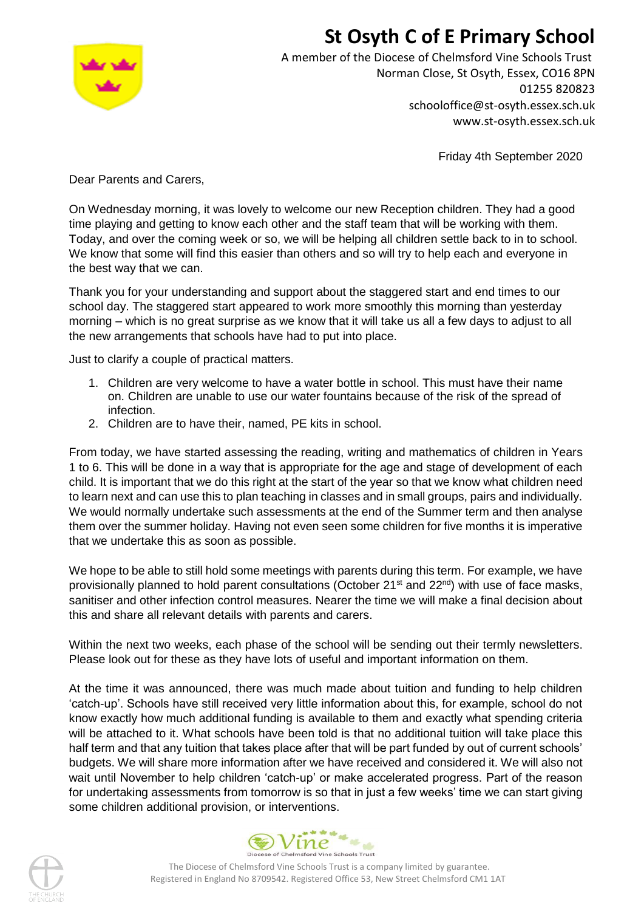# **St Osyth C of E Primary School**



A member of the Diocese of Chelmsford Vine Schools Trust Norman Close, St Osyth, Essex, CO16 8PN 01255 820823 schooloffice@st-osyth.essex.sch.uk www.st-osyth.essex.sch.uk

Friday 4th September 2020

Dear Parents and Carers,

On Wednesday morning, it was lovely to welcome our new Reception children. They had a good time playing and getting to know each other and the staff team that will be working with them. Today, and over the coming week or so, we will be helping all children settle back to in to school. We know that some will find this easier than others and so will try to help each and everyone in the best way that we can.

Thank you for your understanding and support about the staggered start and end times to our school day. The staggered start appeared to work more smoothly this morning than yesterday morning – which is no great surprise as we know that it will take us all a few days to adjust to all the new arrangements that schools have had to put into place.

Just to clarify a couple of practical matters.

- 1. Children are very welcome to have a water bottle in school. This must have their name on. Children are unable to use our water fountains because of the risk of the spread of infection.
- 2. Children are to have their, named, PE kits in school.

From today, we have started assessing the reading, writing and mathematics of children in Years 1 to 6. This will be done in a way that is appropriate for the age and stage of development of each child. It is important that we do this right at the start of the year so that we know what children need to learn next and can use this to plan teaching in classes and in small groups, pairs and individually. We would normally undertake such assessments at the end of the Summer term and then analyse them over the summer holiday. Having not even seen some children for five months it is imperative that we undertake this as soon as possible.

We hope to be able to still hold some meetings with parents during this term. For example, we have provisionally planned to hold parent consultations (October 21<sup>st</sup> and 22<sup>nd</sup>) with use of face masks, sanitiser and other infection control measures. Nearer the time we will make a final decision about this and share all relevant details with parents and carers.

Within the next two weeks, each phase of the school will be sending out their termly newsletters. Please look out for these as they have lots of useful and important information on them.

At the time it was announced, there was much made about tuition and funding to help children 'catch-up'. Schools have still received very little information about this, for example, school do not know exactly how much additional funding is available to them and exactly what spending criteria will be attached to it. What schools have been told is that no additional tuition will take place this half term and that any tuition that takes place after that will be part funded by out of current schools' budgets. We will share more information after we have received and considered it. We will also not wait until November to help children 'catch-up' or make accelerated progress. Part of the reason for undertaking assessments from tomorrow is so that in just a few weeks' time we can start giving some children additional provision, or interventions.





The Diocese of Chelmsford Vine Schools Trust is a company limited by guarantee. Registered in England No 8709542. Registered Office 53, New Street Chelmsford CM1 1AT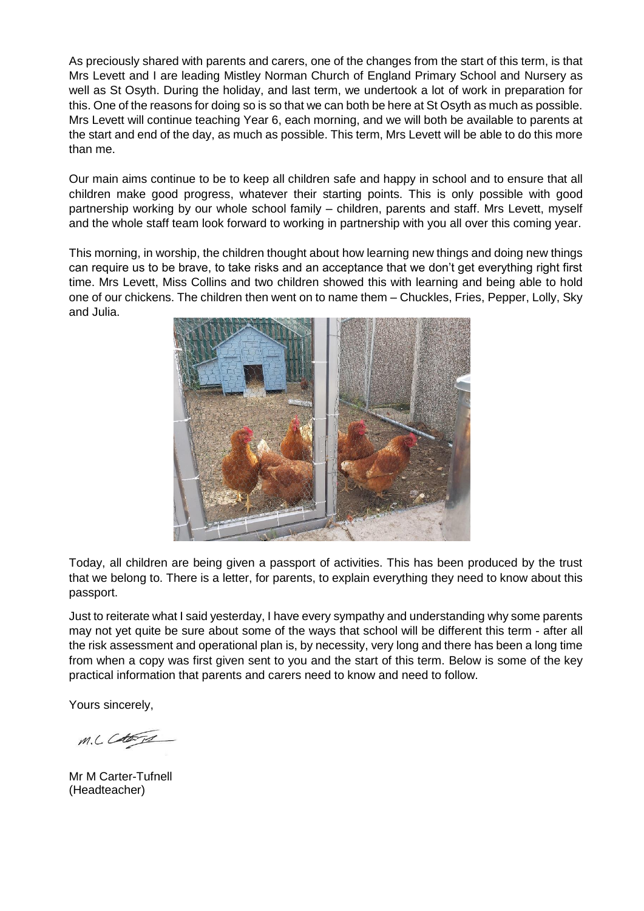As preciously shared with parents and carers, one of the changes from the start of this term, is that Mrs Levett and I are leading Mistley Norman Church of England Primary School and Nursery as well as St Osyth. During the holiday, and last term, we undertook a lot of work in preparation for this. One of the reasons for doing so is so that we can both be here at St Osyth as much as possible. Mrs Levett will continue teaching Year 6, each morning, and we will both be available to parents at the start and end of the day, as much as possible. This term, Mrs Levett will be able to do this more than me.

Our main aims continue to be to keep all children safe and happy in school and to ensure that all children make good progress, whatever their starting points. This is only possible with good partnership working by our whole school family – children, parents and staff. Mrs Levett, myself and the whole staff team look forward to working in partnership with you all over this coming year.

This morning, in worship, the children thought about how learning new things and doing new things can require us to be brave, to take risks and an acceptance that we don't get everything right first time. Mrs Levett, Miss Collins and two children showed this with learning and being able to hold one of our chickens. The children then went on to name them – Chuckles, Fries, Pepper, Lolly, Sky and Julia.



Today, all children are being given a passport of activities. This has been produced by the trust that we belong to. There is a letter, for parents, to explain everything they need to know about this passport.

Just to reiterate what I said yesterday, I have every sympathy and understanding why some parents may not yet quite be sure about some of the ways that school will be different this term - after all the risk assessment and operational plan is, by necessity, very long and there has been a long time from when a copy was first given sent to you and the start of this term. Below is some of the key practical information that parents and carers need to know and need to follow.

Yours sincerely,

M.L Cataria

Mr M Carter-Tufnell (Headteacher)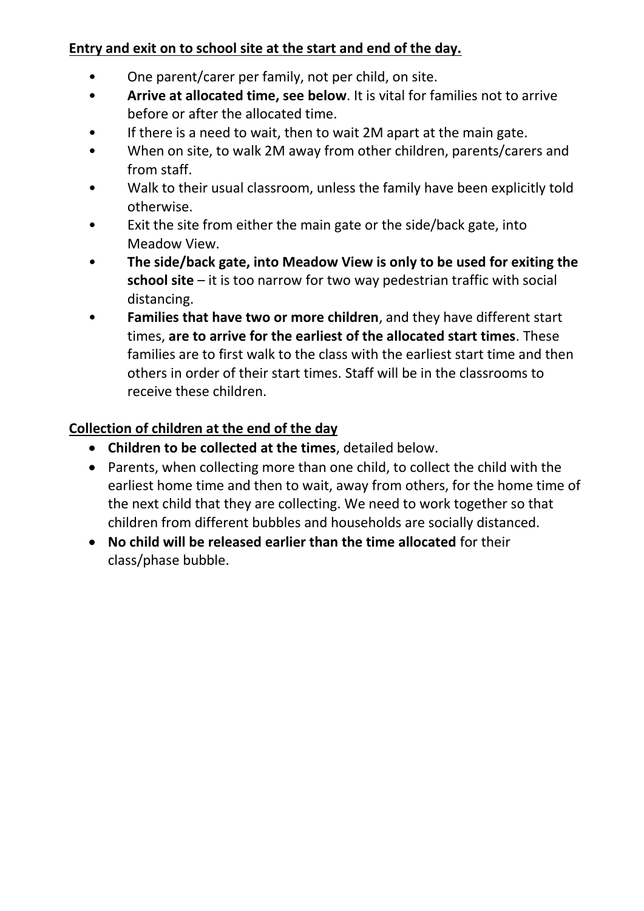## **Entry and exit on to school site at the start and end of the day.**

- One parent/carer per family, not per child, on site.
- **Arrive at allocated time, see below**. It is vital for families not to arrive before or after the allocated time.
- If there is a need to wait, then to wait 2M apart at the main gate.
- When on site, to walk 2M away from other children, parents/carers and from staff.
- Walk to their usual classroom, unless the family have been explicitly told otherwise.
- Exit the site from either the main gate or the side/back gate, into Meadow View.
- **The side/back gate, into Meadow View is only to be used for exiting the school site** – it is too narrow for two way pedestrian traffic with social distancing.
- **Families that have two or more children**, and they have different start times, **are to arrive for the earliest of the allocated start times**. These families are to first walk to the class with the earliest start time and then others in order of their start times. Staff will be in the classrooms to receive these children.

## **Collection of children at the end of the day**

- **Children to be collected at the times**, detailed below.
- Parents, when collecting more than one child, to collect the child with the earliest home time and then to wait, away from others, for the home time of the next child that they are collecting. We need to work together so that children from different bubbles and households are socially distanced.
- **No child will be released earlier than the time allocated** for their class/phase bubble.